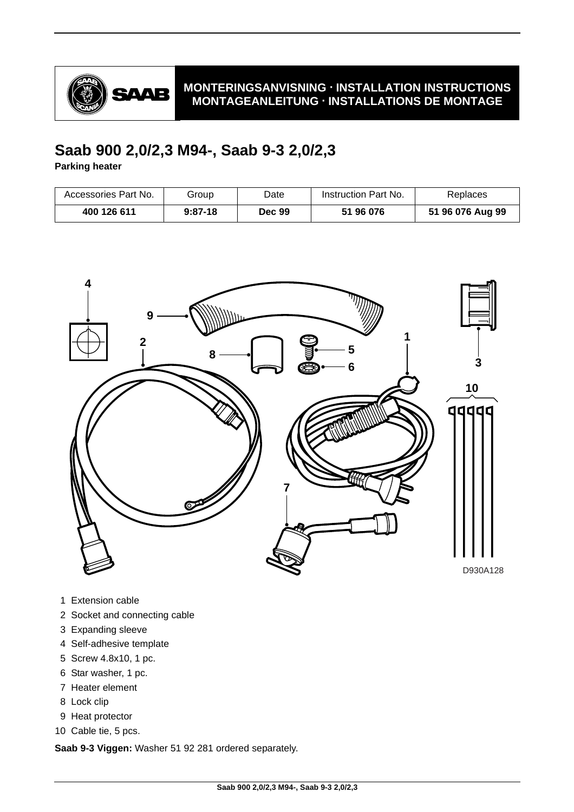

### **MONTERINGSANVISNING · INSTALLATION INSTRUCTIONS MONTAGEANLEITUNG · INSTALLATIONS DE MONTAGE**

# **Saab 900 2,0/2,3 M94-, Saab 9-3 2,0/2,3**

**Parking heater**

| Accessories Part No. | Group     | Date   | Instruction Part No. | Replaces         |
|----------------------|-----------|--------|----------------------|------------------|
| 400 126 611          | $9:87-18$ | Dec 99 | 51 96 076            | 51 96 076 Aug 99 |



- 1 Extension cable
- 2 Socket and connecting cable
- 3 Expanding sleeve
- 4 Self-adhesive template
- 5 Screw 4.8x10, 1 pc.
- 6 Star washer, 1 pc.
- 7 Heater element
- 8 Lock clip
- 9 Heat protector
- 10 Cable tie, 5 pcs.

**Saab 9-3 Viggen:** Washer 51 92 281 ordered separately.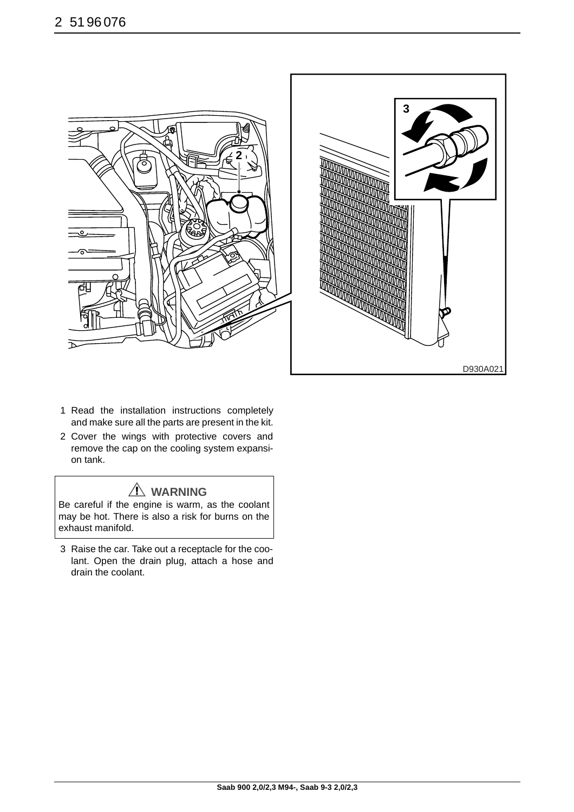

- 1 Read the installation instructions completely and make sure all the parts are present in the kit.
- 2 Cover the wings with protective covers and remove the cap on the cooling system expansion tank.

### **WARNING**

Be careful if the engine is warm, as the coolant may be hot. There is also a risk for burns on the exhaust manifold.

3 Raise the car. Take out a receptacle for the coolant. Open the drain plug, attach a hose and drain the coolant.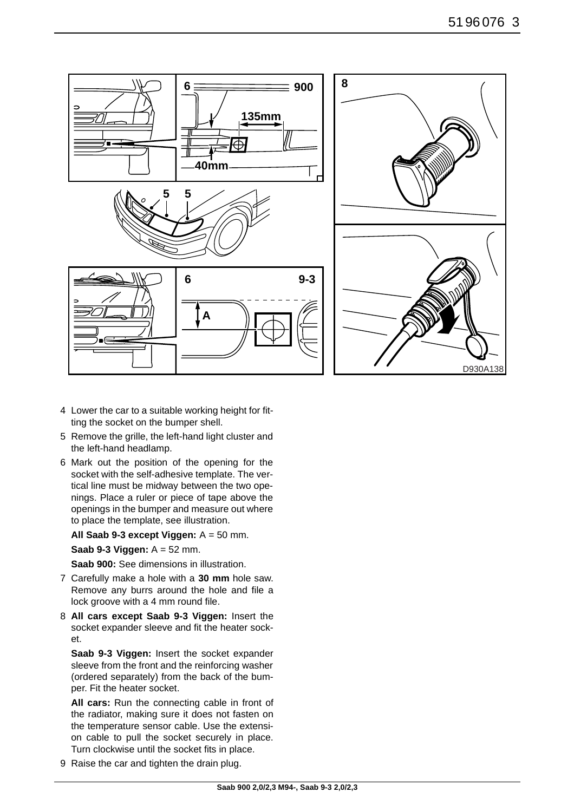

- 4 Lower the car to a suitable working height for fitting the socket on the bumper shell.
- 5 Remove the grille, the left-hand light cluster and the left-hand headlamp.
- 6 Mark out the position of the opening for the socket with the self-adhesive template. The vertical line must be midway between the two openings. Place a ruler or piece of tape above the openings in the bumper and measure out where to place the template, see illustration.

**All Saab 9-3 except Viggen:** A = 50 mm.

**Saab 9-3 Viggen:** A = 52 mm.

**Saab 900:** See dimensions in illustration.

- 7 Carefully make a hole with a **30 mm** hole saw. Remove any burrs around the hole and file a lock groove with a 4 mm round file.
- 8 **All cars except Saab 9-3 Viggen:** Insert the socket expander sleeve and fit the heater socket.

**Saab 9-3 Viggen:** Insert the socket expander sleeve from the front and the reinforcing washer (ordered separately) from the back of the bumper. Fit the heater socket.

**All cars:** Run the connecting cable in front of the radiator, making sure it does not fasten on the temperature sensor cable. Use the extension cable to pull the socket securely in place. Turn clockwise until the socket fits in place.

9 Raise the car and tighten the drain plug.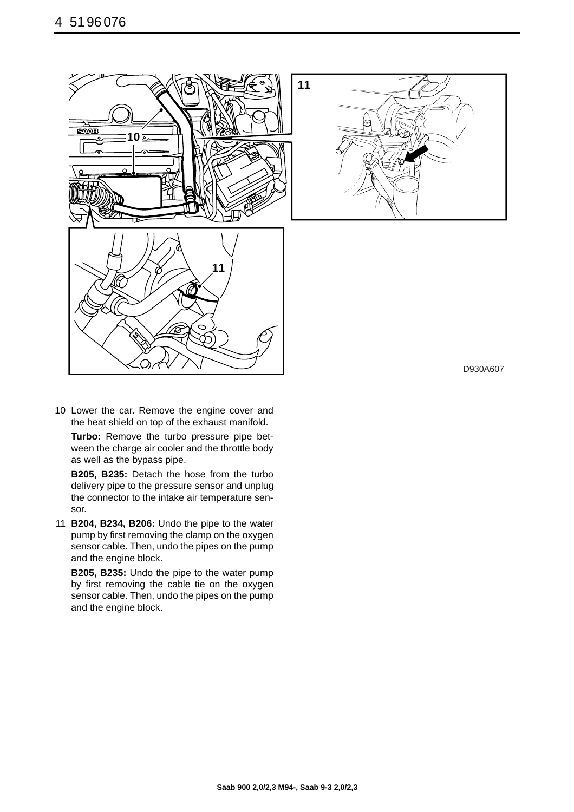

10 Lower the car. Remove the engine cover and the heat shield on top of the exhaust manifold.

**Turbo:** Remove the turbo pressure pipe between the charge air cooler and the throttle body as well as the bypass pipe.

**B205, B235:** Detach the hose from the turbo delivery pipe to the pressure sensor and unplug the connector to the intake air temperature sensor.

11 **B204, B234, B206:** Undo the pipe to the water pump by first removing the clamp on the oxygen sensor cable. Then, undo the pipes on the pump and the engine block.

**B205, B235:** Undo the pipe to the water pump by first removing the cable tie on the oxygen sensor cable. Then, undo the pipes on the pump and the engine block.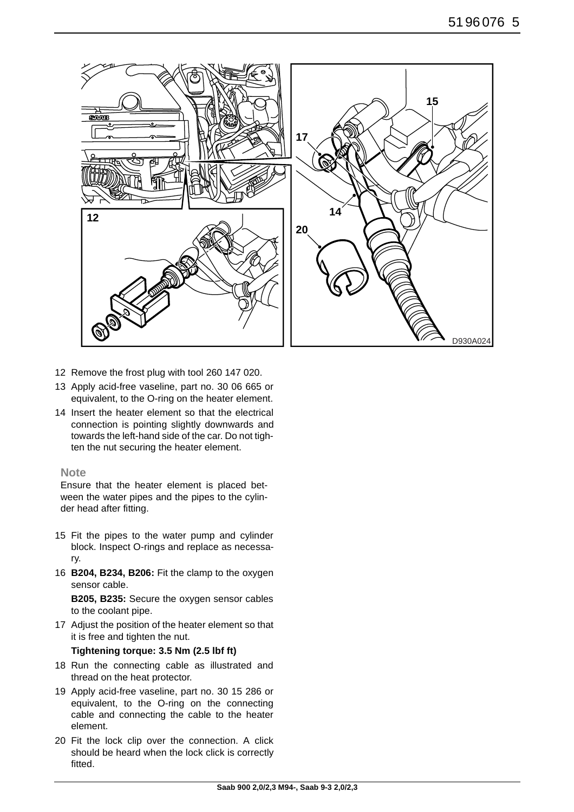

- 12 Remove the frost plug with tool 260 147 020.
- 13 Apply acid-free vaseline, part no. 30 06 665 or equivalent, to the O-ring on the heater element.
- 14 Insert the heater element so that the electrical connection is pointing slightly downwards and towards the left-hand side of the car. Do not tighten the nut securing the heater element.

### **Note**

Ensure that the heater element is placed between the water pipes and the pipes to the cylinder head after fitting.

- 15 Fit the pipes to the water pump and cylinder block. Inspect O-rings and replace as necessary.
- 16 **B204, B234, B206:** Fit the clamp to the oxygen sensor cable.

**B205, B235:** Secure the oxygen sensor cables to the coolant pipe.

17 Adjust the position of the heater element so that it is free and tighten the nut.

#### **Tightening torque: 3.5 Nm (2.5 lbf ft)**

- 18 Run the connecting cable as illustrated and thread on the heat protector.
- 19 Apply acid-free vaseline, part no. 30 15 286 or equivalent, to the O-ring on the connecting cable and connecting the cable to the heater element.
- 20 Fit the lock clip over the connection. A click should be heard when the lock click is correctly fitted.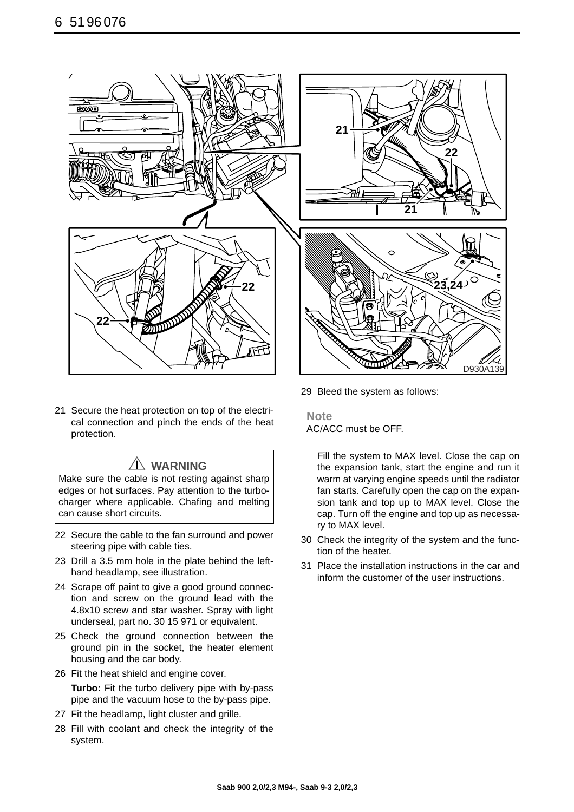

21 Secure the heat protection on top of the electrical connection and pinch the ends of the heat protection.

## **WARNING**

Make sure the cable is not resting against sharp edges or hot surfaces. Pay attention to the turbocharger where applicable. Chafing and melting can cause short circuits.

- 22 Secure the cable to the fan surround and power steering pipe with cable ties.
- 23 Drill a 3.5 mm hole in the plate behind the lefthand headlamp, see illustration.
- 24 Scrape off paint to give a good ground connection and screw on the ground lead with the 4.8x10 screw and star washer. Spray with light underseal, part no. 30 15 971 or equivalent.
- 25 Check the ground connection between the ground pin in the socket, the heater element housing and the car body.
- 26 Fit the heat shield and engine cover.

**Turbo:** Fit the turbo delivery pipe with by-pass pipe and the vacuum hose to the by-pass pipe.

- 27 Fit the headlamp, light cluster and grille.
- 28 Fill with coolant and check the integrity of the system.

29 Bleed the system as follows:

**Note** AC/ACC must be OFF.

> Fill the system to MAX level. Close the cap on the expansion tank, start the engine and run it warm at varying engine speeds until the radiator fan starts. Carefully open the cap on the expansion tank and top up to MAX level. Close the cap. Turn off the engine and top up as necessary to MAX level.

- 30 Check the integrity of the system and the function of the heater.
- 31 Place the installation instructions in the car and inform the customer of the user instructions.